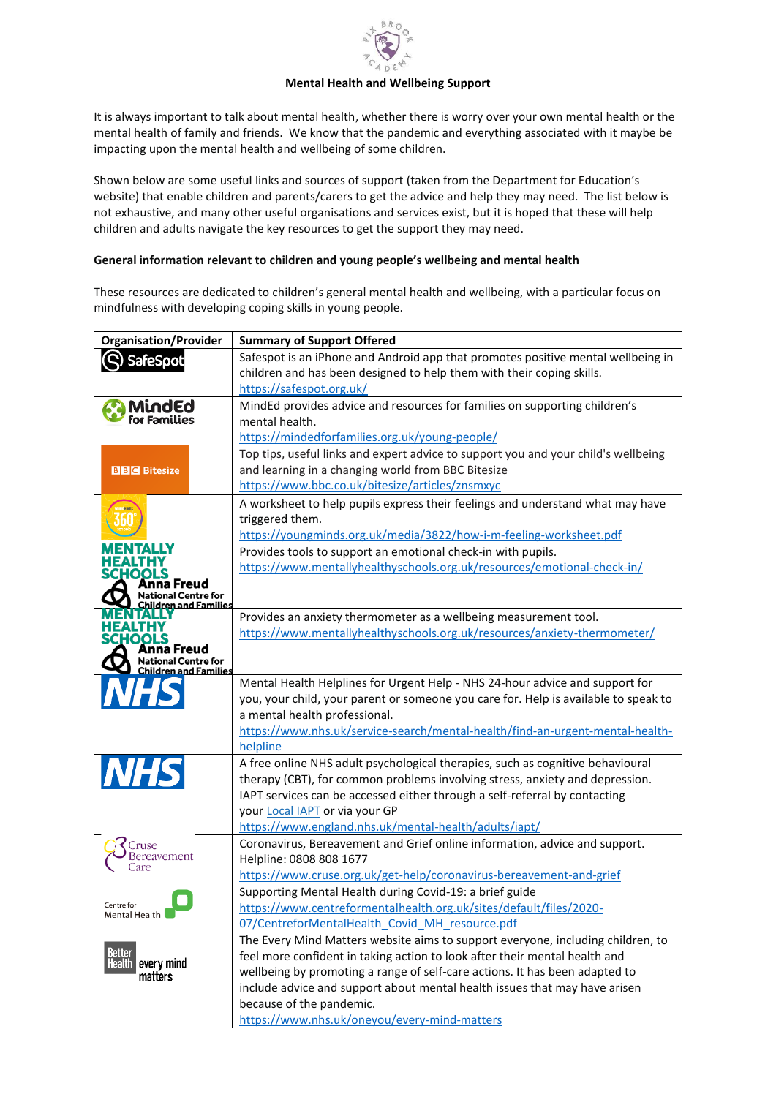

## **Mental Health and Wellbeing Support**

It is always important to talk about mental health, whether there is worry over your own mental health or the mental health of family and friends. We know that the pandemic and everything associated with it maybe be impacting upon the mental health and wellbeing of some children.

Shown below are some useful links and sources of support (taken from the Department for Education's website) that enable children and parents/carers to get the advice and help they may need. The list below is not exhaustive, and many other useful organisations and services exist, but it is hoped that these will help children and adults navigate the key resources to get the support they may need.

## **General information relevant to children and young people's wellbeing and mental health**

These resources are dedicated to children's general mental health and wellbeing, with a particular focus on mindfulness with developing coping skills in young people.

| <b>Organisation/Provider</b>                        | <b>Summary of Support Offered</b>                                                   |
|-----------------------------------------------------|-------------------------------------------------------------------------------------|
| SafeSpot                                            | Safespot is an iPhone and Android app that promotes positive mental wellbeing in    |
|                                                     | children and has been designed to help them with their coping skills.               |
|                                                     | https://safespot.org.uk/                                                            |
| MindEd                                              | MindEd provides advice and resources for families on supporting children's          |
|                                                     | mental health.                                                                      |
|                                                     | https://mindedforfamilies.org.uk/young-people/                                      |
|                                                     | Top tips, useful links and expert advice to support you and your child's wellbeing  |
| <b>BBC</b> Bitesize                                 | and learning in a changing world from BBC Bitesize                                  |
|                                                     | https://www.bbc.co.uk/bitesize/articles/znsmxyc                                     |
|                                                     | A worksheet to help pupils express their feelings and understand what may have      |
|                                                     | triggered them.                                                                     |
|                                                     | https://youngminds.org.uk/media/3822/how-i-m-feeling-worksheet.pdf                  |
|                                                     | Provides tools to support an emotional check-in with pupils.                        |
| EALTHY<br>SCHOOLS                                   | https://www.mentallyhealthyschools.org.uk/resources/emotional-check-in/             |
| ıa Freud                                            |                                                                                     |
| tional Centre for<br>hildren and Families:          |                                                                                     |
|                                                     | Provides an anxiety thermometer as a wellbeing measurement tool.                    |
| HOOLS                                               | https://www.mentallyhealthyschools.org.uk/resources/anxiety-thermometer/            |
| Anna Freud                                          |                                                                                     |
| National Centre for<br><u>Children and Families</u> |                                                                                     |
|                                                     | Mental Health Helplines for Urgent Help - NHS 24-hour advice and support for        |
|                                                     | you, your child, your parent or someone you care for. Help is available to speak to |
|                                                     | a mental health professional.                                                       |
|                                                     | https://www.nhs.uk/service-search/mental-health/find-an-urgent-mental-health-       |
|                                                     | helpline                                                                            |
|                                                     | A free online NHS adult psychological therapies, such as cognitive behavioural      |
| <b>NHS</b>                                          | therapy (CBT), for common problems involving stress, anxiety and depression.        |
|                                                     | IAPT services can be accessed either through a self-referral by contacting          |
|                                                     | your Local IAPT or via your GP                                                      |
|                                                     | https://www.england.nhs.uk/mental-health/adults/iapt/                               |
| Cruse                                               | Coronavirus, Bereavement and Grief online information, advice and support.          |
| Bereavement<br>Care                                 | Helpline: 0808 808 1677                                                             |
|                                                     | https://www.cruse.org.uk/get-help/coronavirus-bereavement-and-grief                 |
|                                                     | Supporting Mental Health during Covid-19: a brief guide                             |
| Centre for<br>Mental Health                         | https://www.centreformentalhealth.org.uk/sites/default/files/2020-                  |
|                                                     | 07/CentreforMentalHealth Covid MH resource.pdf                                      |
| Better<br>every mind<br>Health I<br>matters         | The Every Mind Matters website aims to support everyone, including children, to     |
|                                                     | feel more confident in taking action to look after their mental health and          |
|                                                     | wellbeing by promoting a range of self-care actions. It has been adapted to         |
|                                                     | include advice and support about mental health issues that may have arisen          |
|                                                     | because of the pandemic.                                                            |
|                                                     | https://www.nhs.uk/oneyou/every-mind-matters                                        |